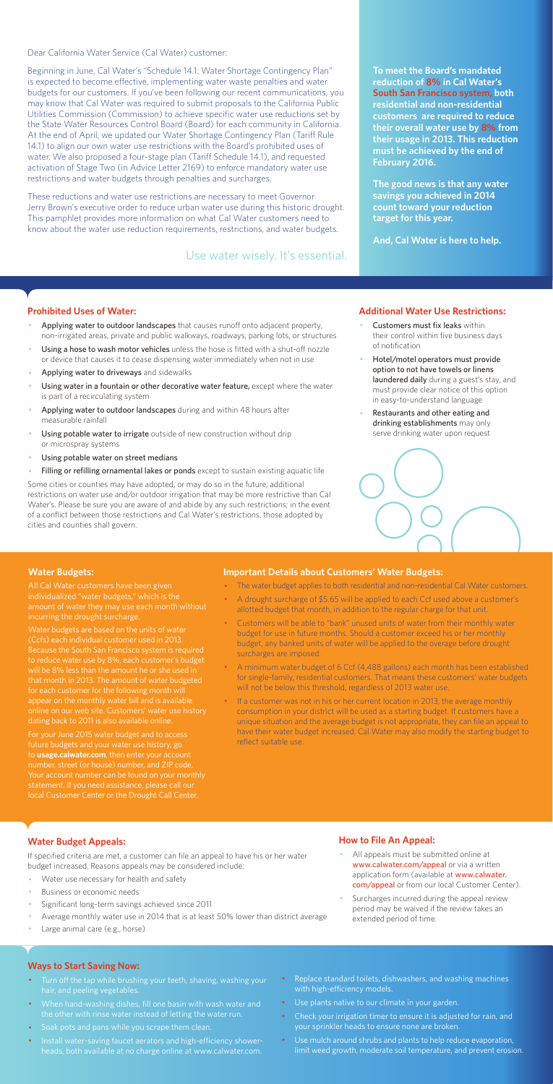Dear California Water Service (Cal Water) customer:

Beginning in June, Cal Water's "Schedule 14.1: Water Shortage Contingency Plan" is expected to become effective, implementing water waste penalties and water budgets for our customers. If you've been following our recent communications, you may know that Cal Water was required to submit proposals to the California Public Utilities Commission (Commission) to achieve specific water use reductions set by the State Water Resources Control Board (Board) for each community in California. At the end of April, we updated our Water Shortage Contingency Plan (Tariff Rule 14.1) to align our own water use restrictions with the Board's prohibited uses of water. We also proposed a four-stage plan (Tariff Schedule 14.1), and requested activation of Stage Two (in Advice Letter 2169) to enforce mandatory water use restrictions and water budgets through penalties and surcharges.

These reductions and water use restrictions are necessary to meet Governor Jerry Brown's executive order to reduce urban water use during this historic drought. This pamphlet provides more information on what Cal Water customers need to know about the water use reduction requirements, restrictions, and water budgets.

#### **Prohibited Uses of Water:**

- Applying water to outdoor landscapes that causes runoff onto adjacent property, non-irrigated areas, private and public walkways, roadways, parking lots, or structures
- Using a hose to wash motor vehicles unless the hose is fitted with a shut-off nozzle or device that causes it to cease dispensing water immediately when not in use
- Applying water to driveways and sidewalks
- Using water in a fountain or other decorative water feature, except where the water is part of a recirculating system
- Applying water to outdoor landscapes during and within 48 hours after measurable rainfall
- Using potable water to irrigate outside of new construction without drip or microspray systems
- Using potable water on street medians
- Filling or refilling ornamental lakes or ponds except to sustain existing aquatic life
- Customers must fix leaks within their control within five business days of notification
- Hotel/motel operators must provide option to not have towels or linens laundered daily during a guest's stay, and must provide clear notice of this option in easy-to-understand language
- Restaurants and other eating and drinking establishments may only serve drinking water upon request



- All appeals must be submitted online at www.calwater.com/appeal or via a written application form (available at www.calwater. com/appeal or from our local Customer Center).
- · Surcharges incurred during the appeal review period may be waived if the review takes an extended period of time.

Some cities or counties may have adopted, or may do so in the future, additional restrictions on water use and/or outdoor irrigation that may be more restrictive than Cal Water's. Please be sure you are aware of and abide by any such restrictions; in the event of a conflict between those restrictions and Cal Water's restrictions, those adopted by cities and counties shall govern.

- Turn off the tap while brushing your teeth, shaving, washing your hair, and peeling vegetables.
- · When hand-washing dishes, fill one basin with wash water and the other with rinse water instead of letting the water run.
- · Soak pots and pans while you scrape them clean.
- · Install water-saving faucet aerators and high-efficiency showerheads, both available at no charge online at www.calwater.com.
- Replace standard toilets, dishwashers, and washing machines with high-efficiency models.
- · Use plants native to our climate in your garden.
- Check your irrigation timer to ensure it is adjusted for rain, and your sprinkler heads to ensure none are broken.
- · Use mulch around shrubs and plants to help reduce evaporation, limit weed growth, moderate soil temperature, and prevent erosion.

**To meet the Board's mandated reduction of 8% in Cal Water's South San Francisco system, both residential and non-residential customers are required to reduce their overall water use by 8% from their usage in 2013. This reduction must be achieved by the end of February 2016.** 

**The good news is that any water savings you achieved in 2014 count toward your reduction target for this year.** 

**And, Cal Water is here to help.** 

#### **Additional Water Use Restrictions:**

### **Water Budget Appeals:**

If specified criteria are met, a customer can file an appeal to have his or her water budget increased. Reasons appeals may be considered include:

- Water use necessary for health and safety
- Business or economic needs
- Significant long-term savings achieved since 2011
- Average monthly water use in 2014 that is at least 50% lower than district average
- Large animal care (e.g., horse)

If a customer was not in his or her current location in 2013, the average monthly consumption in your district will be used as a starting budget. If customers have a unique situation and the average budget is not appropriate, they can file an appeal to have their water budget increased. Cal Water may also modify the starting budget to reflect suitable use.

## **How to File An Appeal:**

#### **Ways to Start Saving Now:**

Use water wisely. It's essential.

#### **Water Budgets:**

individualized "water budgets," which is the incurring the drought surcharge.

Water budgets are based on the units of water (Ccfs) each individual customer used in 2013. to reduce water use by 8%, each customer's budget that month in 2013. The amount of water budgeted for each customer for the following month will appear on the monthly water bill and is available dating back to 2011 is also available online.

For your June 2015 water budget and to access future budgets and your water use history, go to **usage.calwater.com**, then enter your account number, street (or house) number, and ZIP code. local Customer Center or the Drought Call Center.

#### **Important Details about Customers' Water Budgets:**

- · The water budget applies to both residential and non-residential Cal Water customers.
- A drought surcharge of \$5.65 will be applied to each Ccf used above a customer's allotted budget that month, in addition to the regular charge for that unit.
- · Customers will be able to "bank" unused units of water from their monthly water budget for use in future months. Should a customer exceed his or her monthly budget, any banked units of water will be applied to the overage before drought surcharges are imposed.
- · A minimum water budget of 6 Ccf (4,488 gallons) each month has been established for single-family, residential customers. That means these customers' water budgets will not be below this threshold, regardless of 2013 water use.